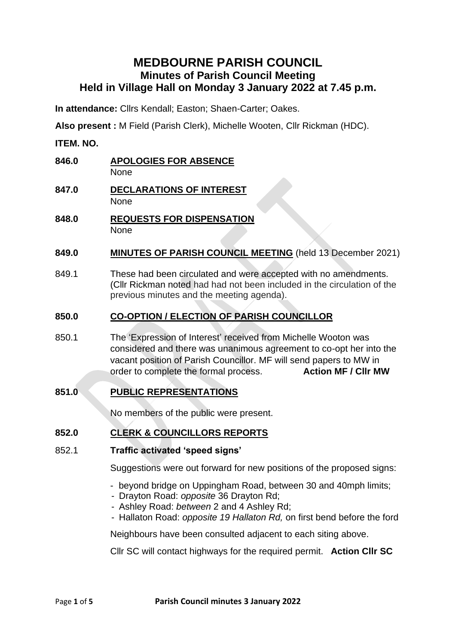# **MEDBOURNE PARISH COUNCIL Minutes of Parish Council Meeting Held in Village Hall on Monday 3 January 2022 at 7.45 p.m.**

**In attendance:** Cllrs Kendall; Easton; Shaen-Carter; Oakes.

**Also present :** M Field (Parish Clerk), Michelle Wooten, Cllr Rickman (HDC).

**ITEM. NO.**

- **846.0 APOLOGIES FOR ABSENCE** None
- **847.0 DECLARATIONS OF INTEREST** None
- **848.0 REQUESTS FOR DISPENSATION** None

### **849.0 MINUTES OF PARISH COUNCIL MEETING** (held 13 December 2021)

849.1 These had been circulated and were accepted with no amendments. (Cllr Rickman noted had had not been included in the circulation of the previous minutes and the meeting agenda).

# **850.0 CO-OPTION / ELECTION OF PARISH COUNCILLOR**

850.1 The 'Expression of Interest' received from Michelle Wooton was considered and there was unanimous agreement to co-opt her into the vacant position of Parish Councillor. MF will send papers to MW in order to complete the formal process. **Action MF / Cllr MW**

# **851.0 PUBLIC REPRESENTATIONS**

No members of the public were present.

# **852.0 CLERK & COUNCILLORS REPORTS**

### 852.1 **Traffic activated 'speed signs'**

Suggestions were out forward for new positions of the proposed signs:

- beyond bridge on Uppingham Road, between 30 and 40mph limits;
- Drayton Road: *opposite* 36 Drayton Rd;
- Ashley Road: *between* 2 and 4 Ashley Rd;
- Hallaton Road: *opposite 19 Hallaton Rd,* on first bend before the ford

Neighbours have been consulted adjacent to each siting above.

Cllr SC will contact highways for the required permit. **Action Cllr SC**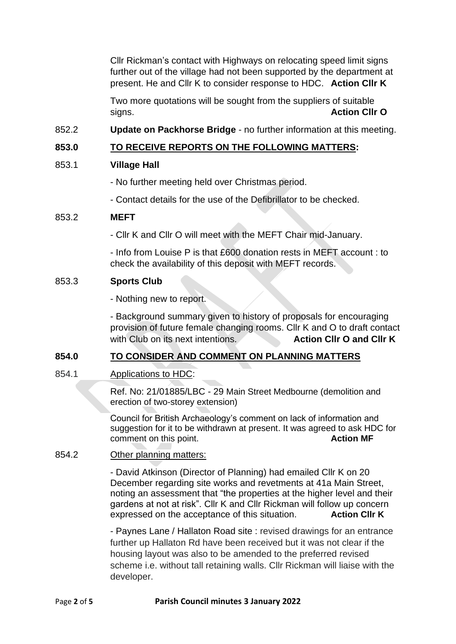Cllr Rickman's contact with Highways on relocating speed limit signs further out of the village had not been supported by the department at present. He and Cllr K to consider response to HDC. **Action Cllr K**

Two more quotations will be sought from the suppliers of suitable signs. **Action Cllr O**

852.2 **Update on Packhorse Bridge** - no further information at this meeting.

# **853.0 TO RECEIVE REPORTS ON THE FOLLOWING MATTERS:**

### 853.1 **Village Hall**

- No further meeting held over Christmas period.

- Contact details for the use of the Defibrillator to be checked.

#### 853.2 **MEFT**

- Cllr K and Cllr O will meet with the MEFT Chair mid-January.

- Info from Louise P is that £600 donation rests in MEFT account : to check the availability of this deposit with MEFT records.

#### 853.3 **Sports Club**

- Nothing new to report.

- Background summary given to history of proposals for encouraging provision of future female changing rooms. Cllr K and O to draft contact with Club on its next intentions. **Action Clir O and Clir K** 

### **854.0 TO CONSIDER AND COMMENT ON PLANNING MATTERS**

854.1 Applications to HDC:

Ref. No: 21/01885/LBC - 29 Main Street Medbourne (demolition and erection of two-storey extension)

Council for British Archaeology's comment on lack of information and suggestion for it to be withdrawn at present. It was agreed to ask HDC for comment on this point. **Action MF** 

854.2 Other planning matters:

- David Atkinson (Director of Planning) had emailed Cllr K on 20 December regarding site works and revetments at 41a Main Street, noting an assessment that "the properties at the higher level and their gardens at not at risk". Cllr K and Cllr Rickman will follow up concern expressed on the acceptance of this situation. **Action Cllr K**

- Paynes Lane / Hallaton Road site : revised drawings for an entrance further up Hallaton Rd have been received but it was not clear if the housing layout was also to be amended to the preferred revised scheme i.e. without tall retaining walls. Cllr Rickman will liaise with the developer.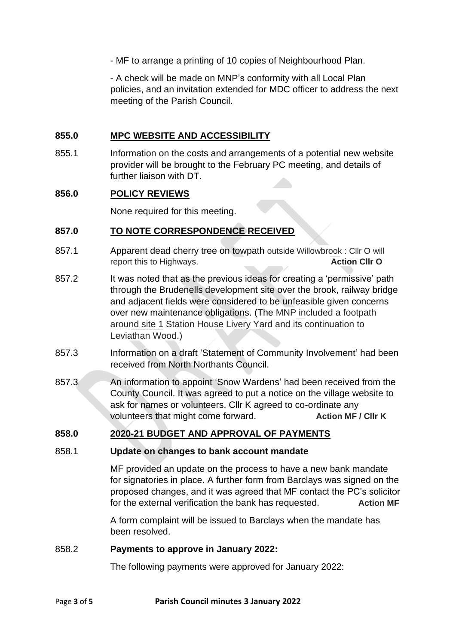- MF to arrange a printing of 10 copies of Neighbourhood Plan.

- A check will be made on MNP's conformity with all Local Plan policies, and an invitation extended for MDC officer to address the next meeting of the Parish Council.

#### **855.0 MPC WEBSITE AND ACCESSIBILITY**

855.1 Information on the costs and arrangements of a potential new website provider will be brought to the February PC meeting, and details of further liaison with DT.

#### **856.0 POLICY REVIEWS**

None required for this meeting.

#### **857.0 TO NOTE CORRESPONDENCE RECEIVED**

- 857.1 Apparent dead cherry tree on towpath outside Willowbrook : Cllr O will report this to Highways. **Action Cllr O**
- 857.2 It was noted that as the previous ideas for creating a 'permissive' path through the Brudenells development site over the brook, railway bridge and adjacent fields were considered to be unfeasible given concerns over new maintenance obligations. (The MNP included a footpath around site 1 Station House Livery Yard and its continuation to Leviathan Wood.)
- 857.3 Information on a draft 'Statement of Community Involvement' had been received from North Northants Council.
- 857.3 An information to appoint 'Snow Wardens' had been received from the County Council. It was agreed to put a notice on the village website to ask for names or volunteers. Cllr K agreed to co-ordinate any volunteers that might come forward. **Action MF / Cllr K**

### **858.0 2020-21 BUDGET AND APPROVAL OF PAYMENTS**

#### 858.1 **Update on changes to bank account mandate**

MF provided an update on the process to have a new bank mandate for signatories in place. A further form from Barclays was signed on the proposed changes, and it was agreed that MF contact the PC's solicitor for the external verification the bank has requested. **Action MF**

A form complaint will be issued to Barclays when the mandate has been resolved.

#### 858.2 **Payments to approve in January 2022:**

The following payments were approved for January 2022: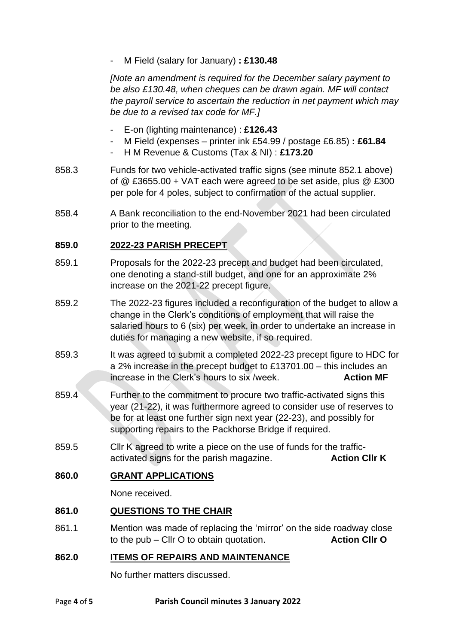- M Field (salary for January) **: £130.48**

*[Note an amendment is required for the December salary payment to be also £130.48, when cheques can be drawn again. MF will contact the payroll service to ascertain the reduction in net payment which may be due to a revised tax code for MF.]*

- E*-*on (lighting maintenance) : **£126.43**
- M Field (expenses printer ink £54.99 / postage £6.85) **: £61.84**
- H M Revenue & Customs (Tax & NI) : **£173.20**
- 858.3 Funds for two vehicle-activated traffic signs (see minute 852.1 above) of @ £3655.00 + VAT each were agreed to be set aside, plus @ £300 per pole for 4 poles, subject to confirmation of the actual supplier.
- 858.4 A Bank reconciliation to the end-November 2021 had been circulated prior to the meeting.

# **859.0 2022-23 PARISH PRECEPT**

- 859.1 Proposals for the 2022-23 precept and budget had been circulated, one denoting a stand-still budget, and one for an approximate 2% increase on the 2021-22 precept figure.
- 859.2 The 2022-23 figures included a reconfiguration of the budget to allow a change in the Clerk's conditions of employment that will raise the salaried hours to 6 (six) per week, in order to undertake an increase in duties for managing a new website, if so required.
- 859.3 It was agreed to submit a completed 2022-23 precept figure to HDC for a 2% increase in the precept budget to £13701.00 – this includes an increase in the Clerk's hours to six /week. **Action MF**
- 859.4 Further to the commitment to procure two traffic-activated signs this year (21-22), it was furthermore agreed to consider use of reserves to be for at least one further sign next year (22-23), and possibly for supporting repairs to the Packhorse Bridge if required.
- 859.5 Cllr K agreed to write a piece on the use of funds for the trafficactivated signs for the parish magazine. **Action Cllr K**

### **860.0 GRANT APPLICATIONS**

None received.

### **861.0 QUESTIONS TO THE CHAIR**

861.1 Mention was made of replacing the 'mirror' on the side roadway close to the pub – Cllr O to obtain quotation. **Action Cllr O**

### **862.0 ITEMS OF REPAIRS AND MAINTENANCE**

No further matters discussed.